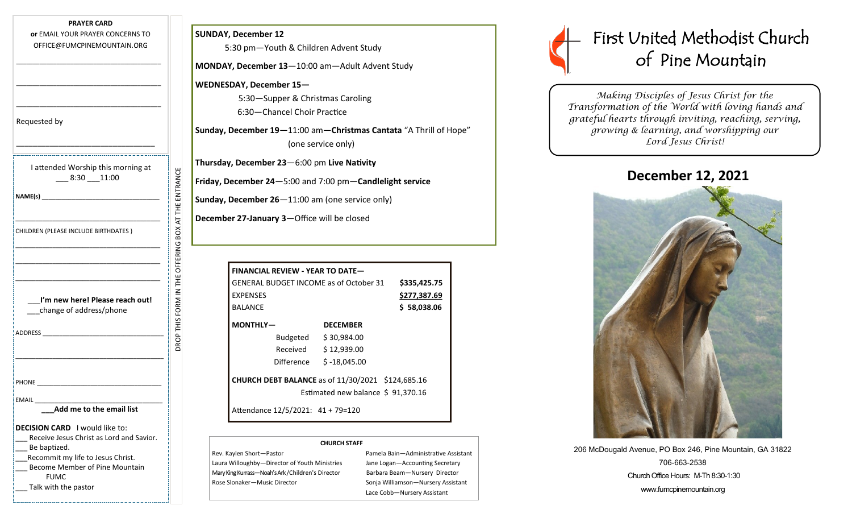| <b>PRAYER CARD</b><br>or EMAIL YOUR PRAYER CONCERNS TO<br>OFFICE@FUMCPINEMOUNTAIN.ORG                                                                                                                                                                                                        | <b>SUNDAY, December 12</b><br>5:30 pm-Youth                                                                                                               |                  |
|----------------------------------------------------------------------------------------------------------------------------------------------------------------------------------------------------------------------------------------------------------------------------------------------|-----------------------------------------------------------------------------------------------------------------------------------------------------------|------------------|
|                                                                                                                                                                                                                                                                                              | <b>MONDAY, December 13</b>                                                                                                                                |                  |
|                                                                                                                                                                                                                                                                                              | <b>WEDNESDAY, Decembe</b><br>$5:30 -$ Suppe<br>6:30-Chanc                                                                                                 |                  |
| Requested by                                                                                                                                                                                                                                                                                 | Sunday, December 19-                                                                                                                                      |                  |
| I attended Worship this morning at<br>$-8:30 - 11:00$                                                                                                                                                                                                                                        | Thursday, December 23<br>Friday, December 24-9<br>Sunday, December 26-                                                                                    |                  |
| CHILDREN (PLEASE INCLUDE BIRTHDATES)                                                                                                                                                                                                                                                         | <b>December 27-January 3</b>                                                                                                                              |                  |
| I'm new here! Please reach out!<br>change of address/phone<br>ADDRESS AND ARREST AND A STRUCK AND A STRUCK AND A STRUCK AND A STRUCK AND A STRUCK AND A STRUCK AND A STRUCK AND A STRUCK AND A STRUCK AND A STRUCK AND A STRUCK AND A STRUCK AND A STRUCK AND A STRUCK AND A STRUCK AND A ST | DROP THIS FORM IN THE OFFERING BOX AT THE ENTRANCE<br><b>FINANCIAL REV</b><br><b>GENERAL BUDG</b><br><b>EXPENSES</b><br><b>BALANCE</b><br><b>MONTHLY-</b> | Bu<br>Re<br>Diff |
| <b>PHONE</b>                                                                                                                                                                                                                                                                                 | <b>CHURCH DEBT</b>                                                                                                                                        |                  |
| EMAIL<br>Add me to the email list                                                                                                                                                                                                                                                            | Attendance 12/                                                                                                                                            |                  |
| <b>DECISION CARD</b> I would like to:<br>Receive Jesus Christ as Lord and Savior.<br>Be baptized.<br>Recommit my life to Jesus Christ.<br>Become Member of Pine Mountain<br><b>FUMC</b><br>Talk with the pastor                                                                              | Rev. Kaylen Short-Pastor<br>Laura Willoughby-Directo<br>Mary King Kurrass-Noah's Ark<br>Rose Slonaker-Music Dire                                          |                  |

5:30 pm—Youth & Children Advent Study **MONDAY, December 13**—10:00 am—Adult Advent Study **WEDNESDAY, December 15—** 5:30—Supper & Christmas Caroling 6:30—Chancel Choir Practice **Sunday, December 19**—11:00 am—**Christmas Cantata** "A Thrill of Hope" (one service only)

**Thursday, December 23**—6:00 pm **Live Nativity** 

**Friday, December 24**—5:00 and 7:00 pm—**Candlelight service** 

day, December 26-11:00 am (one service only)

**December 27-January 3**—Office will be closed

| <b>FINANCIAL REVIEW - YEAR TO DATE—</b>                                                       |                      |              |
|-----------------------------------------------------------------------------------------------|----------------------|--------------|
| <b>GENERAL BUDGET INCOME as of October 31</b>                                                 |                      | \$335,425.75 |
| <b>FXPFNSFS</b>                                                                               |                      | \$277,387.69 |
| <b>BALANCE</b>                                                                                |                      | \$58,038.06  |
| MONTHLY-                                                                                      | <b>DECEMBER</b>      |              |
|                                                                                               | Budgeted \$30,984.00 |              |
| Received                                                                                      | \$12,939.00          |              |
| Difference                                                                                    | $$ -18,045.00$       |              |
| <b>CHURCH DEBT BALANCE</b> as of 11/30/2021 \$124,685.16<br>Estimated new balance \$91,370.16 |                      |              |
| Attendance 12/5/2021: 41 + 79=120                                                             |                      |              |

#### **CHURCH STAFF**

Rev. Kaylen Short—Pastor Pamela Bain—Administrative Assistant Laura Willoughby—Director of Youth Ministries Jane Logan—Accounting Secretary Mary King Kurrass—Noah's Ark / Children's Director Barbara Beam—Nursery Director Rose Slonaker—Music Director Sonja Williamson—Nursery Assistant

Lace Cobb—Nursery Assistant

# First United Methodist Church of Pine Mountain

*Making Disciples of Jesus Christ for the Transformation of the World with loving hands and grateful hearts through inviting, reaching, serving, growing & learning, and worshipping our Lord Jesus Christ!* 

## **December 12, 2021**



206 McDougald Avenue, PO Box 246, Pine Mountain, GA 31822 706-663-2538 Church Office Hours: M-Th 8:30-1:30 www.fumcpinemountain.org